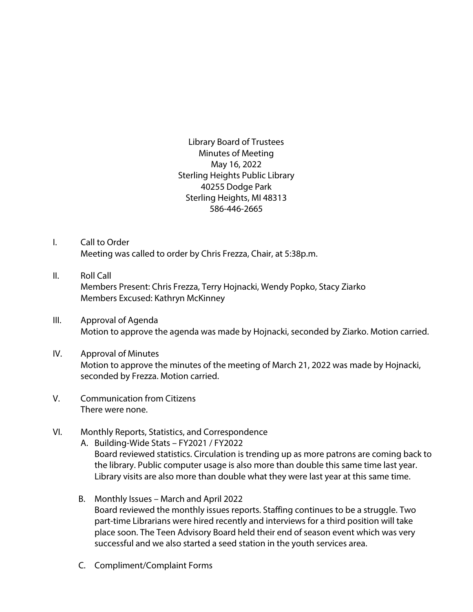Library Board of Trustees Minutes of Meeting May 16, 2022 Sterling Heights Public Library 40255 Dodge Park Sterling Heights, MI 48313 586-446-2665

- I. Call to Order Meeting was called to order by Chris Frezza, Chair, at 5:38p.m.
- II. Roll Call Members Present: Chris Frezza, Terry Hojnacki, Wendy Popko, Stacy Ziarko Members Excused: Kathryn McKinney
- III. Approval of Agenda Motion to approve the agenda was made by Hojnacki, seconded by Ziarko. Motion carried.
- IV. Approval of Minutes Motion to approve the minutes of the meeting of March 21, 2022 was made by Hojnacki, seconded by Frezza. Motion carried.
- V. Communication from Citizens There were none.
- VI. Monthly Reports, Statistics, and Correspondence
	- A. Building-Wide Stats FY2021 / FY2022 Board reviewed statistics. Circulation is trending up as more patrons are coming back to the library. Public computer usage is also more than double this same time last year. Library visits are also more than double what they were last year at this same time.
	- B. Monthly Issues March and April 2022 Board reviewed the monthly issues reports. Staffing continues to be a struggle. Two part-time Librarians were hired recently and interviews for a third position will take place soon. The Teen Advisory Board held their end of season event which was very successful and we also started a seed station in the youth services area.
	- C. Compliment/Complaint Forms